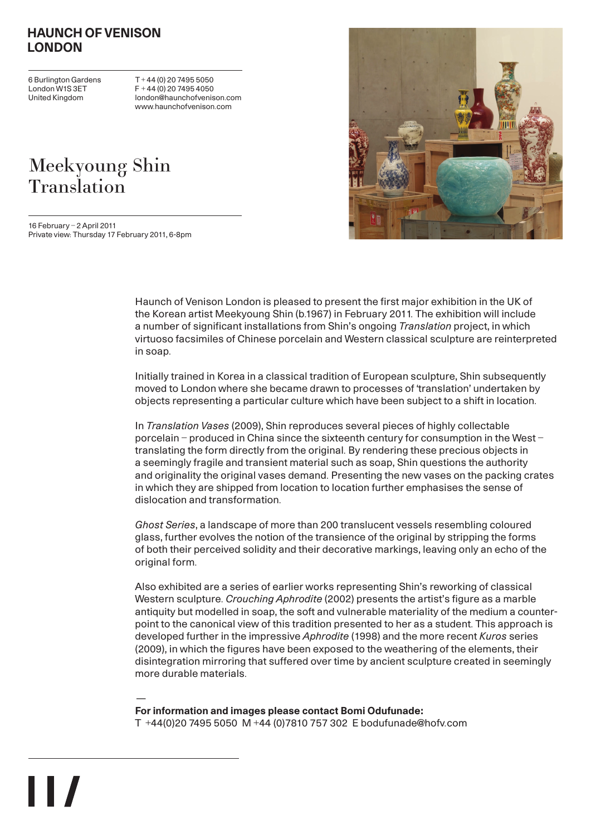#### HAUNCH OF VENISON LONDON

6 Burlington Gardens London W1S 3ET United Kingdom

 $\blacksquare$ 

 $T + 44 (0) 20 7495 5050$  $F + 44 (0) 20 7495 4050$ london@haunchofvenison.com www.haunchofvenison.com

# Meekyoung Shin Translation

16 February – 2 April 2011 Private view: Thursday 17 February 2011, 6-8pm



Haunch of Venison London is pleased to present the first major exhibition in the UK of the Korean artist Meekyoung Shin (b.1967) in February 2011. The exhibition will include a number of significant installations from Shin's ongoing Translation project, in which virtuoso facsimiles of Chinese porcelain and Western classical sculpture are reinterpreted in soap.

Initially trained in Korea in a classical tradition of European sculpture, Shin subsequently moved to London where she became drawn to processes of 'translation' undertaken by objects representing a particular culture which have been subject to a shift in location.

In Translation Vases (2009), Shin reproduces several pieces of highly collectable porcelain – produced in China since the sixteenth century for consumption in the West – translating the form directly from the original. By rendering these precious objects in a seemingly fragile and transient material such as soap, Shin questions the authority and originality the original vases demand. Presenting the new vases on the packing crates in which they are shipped from location to location further emphasises the sense of dislocation and transformation.

Ghost Series, a landscape of more than 200 translucent vessels resembling coloured glass, further evolves the notion of the transience of the original by stripping the forms of both their perceived solidity and their decorative markings, leaving only an echo of the original form.

Also exhibited are a series of earlier works representing Shin's reworking of classical Western sculpture. Crouching Aphrodite (2002) presents the artist's figure as a marble antiquity but modelled in soap, the soft and vulnerable materiality of the medium a counterpoint to the canonical view of this tradition presented to her as a student. This approach is developed further in the impressive Aphrodite (1998) and the more recent Kuros series (2009), in which the figures have been exposed to the weathering of the elements, their disintegration mirroring that suffered over time by ancient sculpture created in seemingly more durable materials.

— For information and images please contact Bomi Odufunade: T +44(0)20 7495 5050 M +44 (0)7810 757 302 E bodufunade@hofv.com